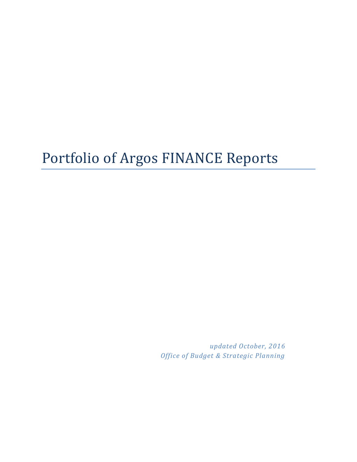# Portfolio of Argos FINANCE Reports

*updated October, 2016 Office of Budget & Strategic Planning*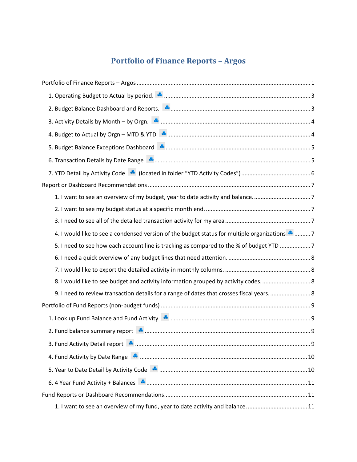## **Portfolio of Finance Reports – Argos**

<span id="page-1-0"></span>

| 1. I want to see an overview of my budget, year to date activity and balance7                   |
|-------------------------------------------------------------------------------------------------|
|                                                                                                 |
|                                                                                                 |
| 4. I would like to see a condensed version of the budget status for multiple organizations *  7 |
| 5. I need to see how each account line is tracking as compared to the % of budget YTD 7         |
|                                                                                                 |
|                                                                                                 |
| 8. I would like to see budget and activity information grouped by activity codes                |
| 9. I need to review transaction details for a range of dates that crosses fiscal years 8        |
|                                                                                                 |
|                                                                                                 |
|                                                                                                 |
|                                                                                                 |
|                                                                                                 |
|                                                                                                 |
|                                                                                                 |
|                                                                                                 |
| 1. I want to see an overview of my fund, year to date activity and balance11                    |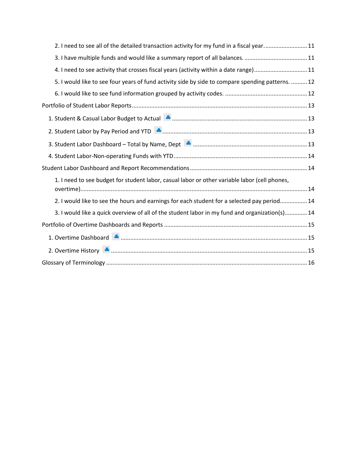| 2. I need to see all of the detailed transaction activity for my fund in a fiscal year11                                                                                                                                      |
|-------------------------------------------------------------------------------------------------------------------------------------------------------------------------------------------------------------------------------|
|                                                                                                                                                                                                                               |
| 4. I need to see activity that crosses fiscal years (activity within a date range)11                                                                                                                                          |
| 5. I would like to see four years of fund activity side by side to compare spending patterns.  12                                                                                                                             |
|                                                                                                                                                                                                                               |
|                                                                                                                                                                                                                               |
| 1. Student & Casual Labor Budget to Actual National Communications and the Casual Labor Budget to Actual National Communications and the Casual Labor Budget to Actual National Communications and Casual Actual Order Actual |
|                                                                                                                                                                                                                               |
|                                                                                                                                                                                                                               |
|                                                                                                                                                                                                                               |
|                                                                                                                                                                                                                               |
| 1. I need to see budget for student labor, casual labor or other variable labor (cell phones,                                                                                                                                 |
| 2. I would like to see the hours and earnings for each student for a selected pay period 14                                                                                                                                   |
| 3. I would like a quick overview of all of the student labor in my fund and organization(s) 14                                                                                                                                |
|                                                                                                                                                                                                                               |
|                                                                                                                                                                                                                               |
|                                                                                                                                                                                                                               |
|                                                                                                                                                                                                                               |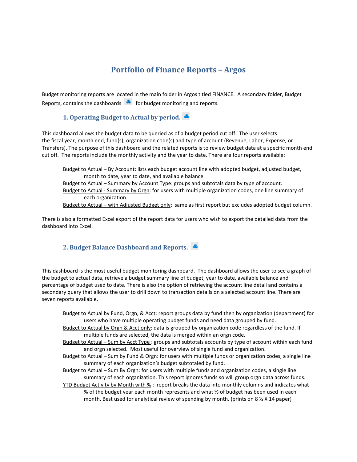## **Portfolio of Finance Reports – Argos**

Budget monitoring reports are located in the main folder in Argos titled FINANCE. A secondary folder, Budget Reports, contains the dashboards  $\ddot{f}$  for budget monitoring and reports.

#### <span id="page-3-0"></span>**1. Operating Budget to Actual by period.**

This dashboard allows the budget data to be queried as of a budget period cut off. The user selects the fiscal year, month end, fund(s), organization code(s) and type of account (Revenue, Labor, Expense, or Transfers). The purpose of this dashboard and the related reports is to review budget data at a specific month end cut off. The reports include the monthly activity and the year to date. There are four reports available:

Budget to Actual – By Account: lists each budget account line with adopted budget, adjusted budget, month to date, year to date, and available balance. Budget to Actual – Summary by Account Type: groups and subtotals data by type of account. Budget to Actual - Summary by Orgn: for users with multiple organization codes, one line summary of each organization. Budget to Actual – with Adjusted Budget only: same as first report but excludes adopted budget column.

There is also a formatted Excel export of the report data for users who wish to export the detailed data from the dashboard into Excel.

#### <span id="page-3-1"></span>**2. Budget Balance Dashboard and Reports.**

This dashboard is the most useful budget monitoring dashboard. The dashboard allows the user to see a graph of the budget to actual data, retrieve a budget summary line of budget, year to date, available balance and percentage of budget used to date. There is also the option of retrieving the account line detail and contains a secondary query that allows the user to drill down to transaction details on a selected account line. There are seven reports available.

Budget to Actual by Fund, Orgn, & Acct: report groups data by fund then by organization (department) for users who have multiple operating budget funds and need data grouped by fund.

Budget to Actual by Orgn & Acct only: data is grouped by organization code regardless of the fund. If multiple funds are selected, the data is merged within an orgn code.

Budget to Actual – Sum by Acct Type : groups and subtotals accounts by type of account within each fund and orgn selected. Most useful for overview of single fund and organization.

Budget to Actual – Sum by Fund & Orgn: for users with multiple funds or organization codes, a single line summary of each organization's budget subtotaled by fund.

Budget to Actual – Sum By Orgn: for users with multiple funds and organization codes, a single line summary of each organization. This report ignores funds so will group orgn data across funds.

YTD Budget Activity by Month with % : report breaks the data into monthly columns and indicates what % of the budget year each month represents and what % of budget has been used in each month. Best used for analytical review of spending by month. (prints on  $8\frac{1}{2}$  X 14 paper)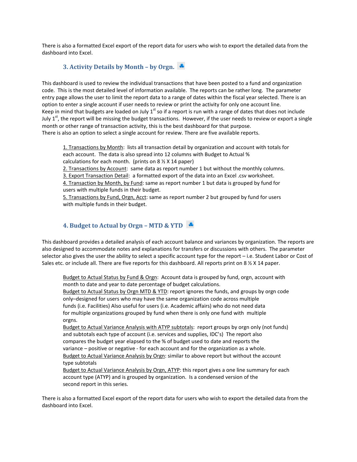There is also a formatted Excel export of the report data for users who wish to export the detailed data from the dashboard into Excel.

#### <span id="page-4-0"></span>**3. Activity Details by Month – by Orgn.**

This dashboard is used to review the individual transactions that have been posted to a fund and organization code. This is the most detailed level of information available. The reports can be rather long. The parameter entry page allows the user to limit the report data to a range of dates within the fiscal year selected. There is an option to enter a single account if user needs to review or print the activity for only one account line. Keep in mind that budgets are loaded on July  $1^{st}$  so if a report is run with a range of dates that does not include July  $1<sup>st</sup>$ , the report will be missing the budget transactions. However, if the user needs to review or export a single month or other range of transaction activity, this is the best dashboard for that purpose. There is also an option to select a single account for review. There are five available reports.

1. Transactions by Month: lists all transaction detail by organization and account with totals for each account. The data is also spread into 12 columns with Budget to Actual % calculations for each month. (prints on  $8\frac{1}{2}$  X 14 paper)

2. Transactions by Account: same data as report number 1 but without the monthly columns.

3. Export Transaction Detail: a formatted export of the data into an Excel .csv worksheet.

4. Transaction by Month, by Fund: same as report number 1 but data is grouped by fund for users with multiple funds in their budget.

5. Transactions by Fund, Orgn, Acct: same as report number 2 but grouped by fund for users with multiple funds in their budget.

#### <span id="page-4-1"></span>**4. Budget to Actual by Orgn – MTD & YTD**

This dashboard provides a detailed analysis of each account balance and variances by organization. The reports are also designed to accommodate notes and explanations for transfers or discussions with others. The parameter selector also gives the user the ability to select a specific account type for the report – i.e. Student Labor or Cost of Sales etc. or include all. There are five reports for this dashboard. All reports print on 8  $\frac{1}{2}$  X 14 paper.

Budget to Actual Status by Fund & Orgn: Account data is grouped by fund, orgn, account with month to date and year to date percentage of budget calculations. Budget to Actual Status by Orgn MTD & YTD: report ignores the funds, and groups by orgn code only–designed for users who may have the same organization code across multiple funds (i.e. Facilities) Also useful for users (i.e. Academic affairs) who do not need data for multiple organizations grouped by fund when there is only one fund with multiple orgns.

Budget to Actual Variance Analysis with ATYP subtotals: report groups by orgn only (not funds) and subtotals each type of account (i.e. services and supplies, IDC's) The report also compares the budget year elapsed to the % of budget used to date and reports the variance – positive or negative - for each account and for the organization as a whole. Budget to Actual Variance Analysis by Orgn: similar to above report but without the account type subtotals

Budget to Actual Variance Analysis by Orgn, ATYP: this report gives a one line summary for each account type (ATYP) and is grouped by organization. Is a condensed version of the second report in this series.

There is also a formatted Excel export of the report data for users who wish to export the detailed data from the dashboard into Excel.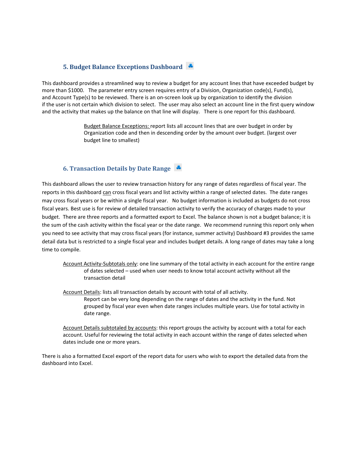#### <span id="page-5-0"></span>**5. Budget Balance Exceptions Dashboard**

This dashboard provides a streamlined way to review a budget for any account lines that have exceeded budget by more than \$1000. The parameter entry screen requires entry of a Division, Organization code(s), Fund(s), and Account Type(s) to be reviewed. There is an on-screen look up by organization to identify the division if the user is not certain which division to select. The user may also select an account line in the first query window and the activity that makes up the balance on that line will display. There is one report for this dashboard.

> Budget Balance Exceptions: report lists all account lines that are over budget in order by Organization code and then in descending order by the amount over budget. (largest over budget line to smallest)

#### <span id="page-5-1"></span>**6. Transaction Details by Date Range**

This dashboard allows the user to review transaction history for any range of dates regardless of fiscal year. The reports in this dashboard can cross fiscal years and list activity within a range of selected dates. The date ranges may cross fiscal years or be within a single fiscal year. No budget information is included as budgets do not cross fiscal years. Best use is for review of detailed transaction activity to verify the accuracy of charges made to your budget. There are three reports and a formatted export to Excel. The balance shown is not a budget balance; it is the sum of the cash activity within the fiscal year or the date range. We recommend running this report only when you need to see activity that may cross fiscal years (for instance, summer activity) Dashboard #3 provides the same detail data but is restricted to a single fiscal year and includes budget details. A long range of dates may take a long time to compile.

Account Activity-Subtotals only: one line summary of the total activity in each account for the entire range of dates selected – used when user needs to know total account activity without all the transaction detail

Account Details: lists all transaction details by account with total of all activity.

Report can be very long depending on the range of dates and the activity in the fund. Not grouped by fiscal year even when date ranges includes multiple years. Use for total activity in date range.

Account Details subtotaled by accounts: this report groups the activity by account with a total for each account. Useful for reviewing the total activity in each account within the range of dates selected when dates include one or more years.

There is also a formatted Excel export of the report data for users who wish to export the detailed data from the dashboard into Excel.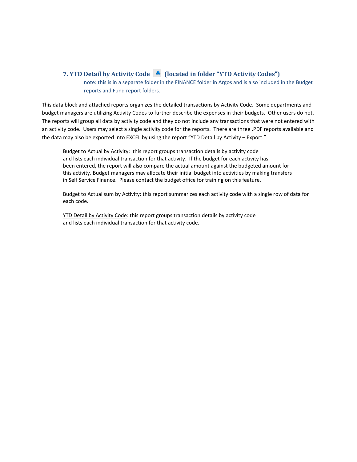#### <span id="page-6-0"></span>**7. YTD Detail by Activity Code (A)** (located in folder "YTD Activity Codes")

note: this is in a separate folder in the FINANCE folder in Argos and is also included in the Budget reports and Fund report folders.

This data block and attached reports organizes the detailed transactions by Activity Code. Some departments and budget managers are utilizing Activity Codes to further describe the expenses in their budgets. Other users do not. The reports will group all data by activity code and they do not include any transactions that were not entered with an activity code. Users may select a single activity code for the reports. There are three .PDF reports available and the data may also be exported into EXCEL by using the report "YTD Detail by Activity – Export."

Budget to Actual by Activity: this report groups transaction details by activity code and lists each individual transaction for that activity. If the budget for each activity has been entered, the report will also compare the actual amount against the budgeted amount for this activity. Budget managers may allocate their initial budget into activities by making transfers in Self Service Finance. Please contact the budget office for training on this feature.

Budget to Actual sum by Activity: this report summarizes each activity code with a single row of data for each code.

YTD Detail by Activity Code: this report groups transaction details by activity code and lists each individual transaction for that activity code.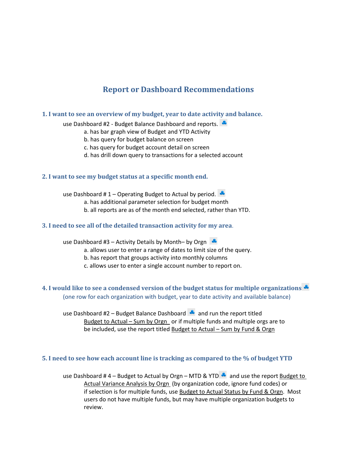## **Report or Dashboard Recommendations**

#### <span id="page-7-1"></span><span id="page-7-0"></span>**1. I want to see an overview of my budget, year to date activity and balance.**

use Dashboard #2 - Budget Balance Dashboard and reports.

- a. has bar graph view of Budget and YTD Activity
- b. has query for budget balance on screen
- c. has query for budget account detail on screen
- d. has drill down query to transactions for a selected account

#### <span id="page-7-2"></span>**2. I want to see my budget status at a specific month end.**

use Dashboard #1 – Operating Budget to Actual by period.

- a. has additional parameter selection for budget month
- b. all reports are as of the month end selected, rather than YTD.

#### <span id="page-7-3"></span>**3. I need to see all of the detailed transaction activity for my area**.

use Dashboard #3 – Activity Details by Month– by Orgn

- a. allows user to enter a range of dates to limit size of the query.
- b. has report that groups activity into monthly columns
- c. allows user to enter a single account number to report on.

#### <span id="page-7-4"></span>**4. I would like to see a condensed version of the budget status for multiple organizations** (one row for each organization with budget, year to date activity and available balance)

use Dashboard #2 – Budget Balance Dashboard  $\bullet$  and run the report titled Budget to Actual – Sum by Orgn or if multiple funds and multiple orgs are to be included, use the report titled Budget to Actual – Sum by Fund & Orgn

#### <span id="page-7-5"></span>**5. I need to see how each account line is tracking as compared to the % of budget YTD**

use Dashboard # 4 – Budget to Actual by Orgn – MTD & YTD  $\bullet$  and use the report Budget to Actual Variance Analysis by Orgn (by organization code, ignore fund codes) or if selection is for multiple funds, use Budget to Actual Status by Fund & Orgn. Most users do not have multiple funds, but may have multiple organization budgets to review.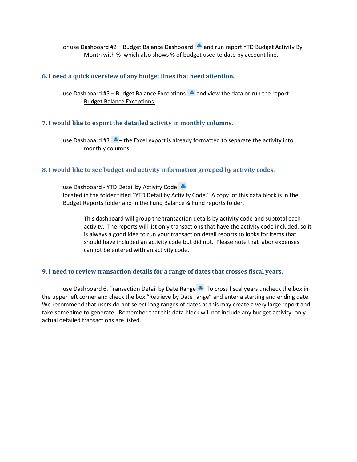or use Dashboard #2 – Budget Balance Dashboard  $\triangle$  and run report YTD Budget Activity By Month with % which also shows % of budget used to date by account line.

#### <span id="page-8-0"></span>**6. I need a quick overview of any budget lines that need attention.**

use Dashboard #5 – Budget Balance Exceptions  $\triangle$  and view the data or run the report Budget Balance Exceptions.

#### <span id="page-8-1"></span>**7. I would like to export the detailed activity in monthly columns.**

use Dashboard #3  $\cdot$  – the Excel export is already formatted to separate the activity into monthly columns.

#### <span id="page-8-2"></span>**8. I would like to see budget and activity information grouped by activity codes.**

use Dashboard - YTD Detail by Activity Code located in the folder titled "YTD Detail by Activity Code." A copy of this data block is in the Budget Reports folder and in the Fund Balance & Fund reports folder.

This dashboard will group the transaction details by activity code and subtotal each activity. The reports will list only transactions that have the activity code included, so it is always a good idea to run your transaction detail reports to looks for items that should have included an activity code but did not. Please note that labor expenses cannot be entered with an activity code.

#### <span id="page-8-3"></span>**9. I need to review transaction details for a range of dates that crosses fiscal years.**

use Dashboard  $6.$  Transaction Detail by Date Range  $\triangle$  To cross fiscal years uncheck the box in the upper left corner and check the box "Retrieve by Date range" and enter a starting and ending date. We recommend that users do not select long ranges of dates as this may create a very large report and take some time to generate. Remember that this data block will not include any budget activity; only actual detailed transactions are listed.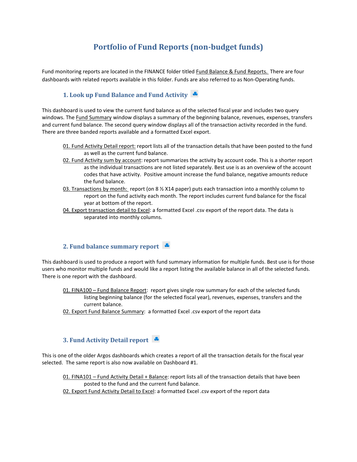## **Portfolio of Fund Reports (non-budget funds)**

<span id="page-9-0"></span>Fund monitoring reports are located in the FINANCE folder titled Fund Balance & Fund Reports. There are four dashboards with related reports available in this folder. Funds are also referred to as Non-Operating funds.

#### <span id="page-9-1"></span>**1. Look up Fund Balance and Fund Activity**

This dashboard is used to view the current fund balance as of the selected fiscal year and includes two query windows. The Fund Summary window displays a summary of the beginning balance, revenues, expenses, transfers and current fund balance. The second query window displays all of the transaction activity recorded in the fund. There are three banded reports available and a formatted Excel export.

- 01. Fund Activity Detail report: report lists all of the transaction details that have been posted to the fund as well as the current fund balance.
- 02. Fund Activity sum by account: report summarizes the activity by account code. This is a shorter report as the individual transactions are not listed separately. Best use is as an overview of the account codes that have activity. Positive amount increase the fund balance, negative amounts reduce the fund balance.
- 03. Transactions by month: report (on 8 % X14 paper) puts each transaction into a monthly column to report on the fund activity each month. The report includes current fund balance for the fiscal year at bottom of the report.
- 04. Export transaction detail to Excel: a formatted Excel .csv export of the report data. The data is separated into monthly columns.

#### <span id="page-9-2"></span>**2. Fund balance summary report**

This dashboard is used to produce a report with fund summary information for multiple funds. Best use is for those users who monitor multiple funds and would like a report listing the available balance in all of the selected funds. There is one report with the dashboard.

- 01. FINA100 Fund Balance Report: report gives single row summary for each of the selected funds listing beginning balance (for the selected fiscal year), revenues, expenses, transfers and the current balance.
- 02. Export Fund Balance Summary: a formatted Excel .csv export of the report data

#### <span id="page-9-3"></span>**3. Fund Activity Detail report**

This is one of the older Argos dashboards which creates a report of all the transaction details for the fiscal year selected. The same report is also now available on Dashboard #1.

01. FINA101 - Fund Activity Detail + Balance: report lists all of the transaction details that have been posted to the fund and the current fund balance. 02. Export Fund Activity Detail to Excel: a formatted Excel .csv export of the report data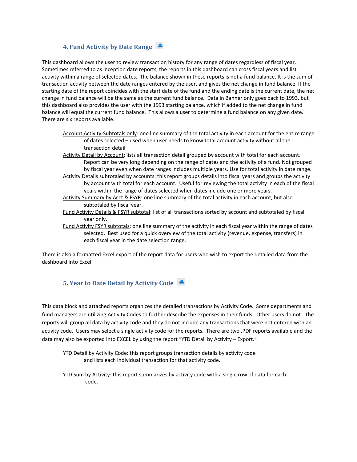#### <span id="page-10-0"></span>**4. Fund Activity by Date Range**

This dashboard allows the user to review transaction history for any range of dates regardless of fiscal year. Sometimes referred to as inception date reports, the reports in this dashboard can cross fiscal years and list activity within a range of selected dates. The balance shown in these reports is not a fund balance. It is the sum of transaction activity between the date ranges entered by the user, and gives the net change in fund balance. If the starting date of the report coincides with the start date of the fund and the ending date is the current date, the net change in fund balance will be the same as the current fund balance. Data in Banner only goes back to 1993, but this dashboard also provides the user with the 1993 starting balance, which if added to the net change in fund balance will equal the current fund balance. This allows a user to determine a fund balance on any given date. There are six reports available.

- Account Activity-Subtotals only: one line summary of the total activity in each account for the entire range of dates selected – used when user needs to know total account activity without all the transaction detail
- Activity Detail by Account: lists all transaction detail grouped by account with total for each account. Report can be very long depending on the range of dates and the activity of a fund. Not grouped by fiscal year even when date ranges includes multiple years. Use for total activity in date range.
- Activity Details subtotaled by accounts: this report groups details into fiscal years and groups the activity by account with total for each account. Useful for reviewing the total activity in each of the fiscal years within the range of dates selected when dates include one or more years.
- Activity Summary by Acct & FSYR: one line summary of the total activity in each account, but also subtotaled by fiscal year.
- Fund Activity Details & FSYR subtotal: list of all transactions sorted by account and subtotaled by fiscal year only.
- Fund Activity FSYR subtotals: one line summary of the activity in each fiscal year within the range of dates selected. Best used for a quick overview of the total activity (revenue, expense, transfers) in each fiscal year in the date selection range.

There is also a formatted Excel export of the report data for users who wish to export the detailed data from the dashboard into Excel.

#### <span id="page-10-1"></span>**5. Year to Date Detail by Activity Code**

This data block and attached reports organizes the detailed transactions by Activity Code. Some departments and fund managers are utilizing Activity Codes to further describe the expenses in their funds. Other users do not. The reports will group all data by activity code and they do not include any transactions that were not entered with an activity code. Users may select a single activity code for the reports. There are two .PDF reports available and the data may also be exported into EXCEL by using the report "YTD Detail by Activity – Export."

YTD Detail by Activity Code: this report groups transaction details by activity code and lists each individual transaction for that activity code.

YTD Sum by Activity: this report summarizes by activity code with a single row of data for each code.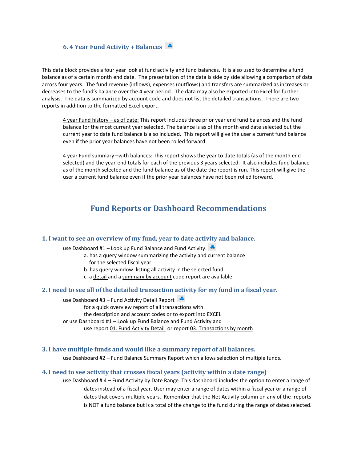#### <span id="page-11-0"></span>**6. 4 Year Fund Activity + Balances**

This data block provides a four year look at fund activity and fund balances. It is also used to determine a fund balance as of a certain month end date. The presentation of the data is side by side allowing a comparison of data across four years. The fund revenue (inflows), expenses (outflows) and transfers are summarized as increases or decreases to the fund's balance over the 4 year period. The data may also be exported into Excel for further analysis. The data is summarized by account code and does not list the detailed transactions. There are two reports in addition to the formatted Excel export.

4 year Fund history – as of date: This report includes three prior year end fund balances and the fund balance for the most current year selected. The balance is as of the month end date selected but the current year to date fund balance is also included. This report will give the user a current fund balance even if the prior year balances have not been rolled forward.

4 year Fund summary –with balances: This report shows the year to date totals (as of the month end selected) and the year-end totals for each of the previous 3 years selected. It also includes fund balance as of the month selected and the fund balance as of the date the report is run. This report will give the user a current fund balance even if the prior year balances have not been rolled forward.

## **Fund Reports or Dashboard Recommendations**

#### <span id="page-11-2"></span><span id="page-11-1"></span>**1. I want to see an overview of my fund, year to date activity and balance.**

use Dashboard #1 – Look up Fund Balance and Fund Activity.

- a. has a query window summarizing the activity and current balance for the selected fiscal year
- b. has query window listing all activity in the selected fund.
- c. a detail and a summary by account code report are available

#### <span id="page-11-3"></span>**2. I need to see all of the detailed transaction activity for my fund in a fiscal year.**

use Dashboard #3 – Fund Activity Detail Report for a quick overview report of all transactions with the description and account codes or to export into EXCEL or use Dashboard #1 – Look up Fund Balance and Fund Activity and use report 01. Fund Activity Detail or report 03. Transactions by month

#### <span id="page-11-4"></span>**3. I have multiple funds and would like a summary report of all balances.**

use Dashboard #2 – Fund Balance Summary Report which allows selection of multiple funds.

#### <span id="page-11-5"></span>**4. I need to see activity that crosses fiscal years (activity within a date range)**

use Dashboard # 4 – Fund Activity by Date Range. This dashboard includes the option to enter a range of dates instead of a fiscal year. User may enter a range of dates within a fiscal year or a range of dates that covers multiple years. Remember that the Net Activity column on any of the reports is NOT a fund balance but is a total of the change to the fund during the range of dates selected.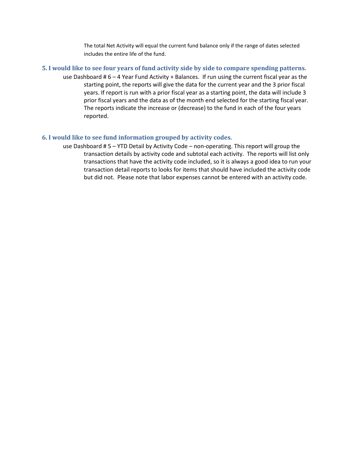The total Net Activity will equal the current fund balance only if the range of dates selected includes the entire life of the fund.

- <span id="page-12-0"></span>**5. I would like to see four years of fund activity side by side to compare spending patterns.** 
	- use Dashboard # 6 4 Year Fund Activity + Balances. If run using the current fiscal year as the starting point, the reports will give the data for the current year and the 3 prior fiscal years. If report is run with a prior fiscal year as a starting point, the data will include 3 prior fiscal years and the data as of the month end selected for the starting fiscal year. The reports indicate the increase or (decrease) to the fund in each of the four years reported.

#### <span id="page-12-1"></span>**6. I would like to see fund information grouped by activity codes.**

use Dashboard # 5 – YTD Detail by Activity Code – non-operating. This report will group the transaction details by activity code and subtotal each activity. The reports will list only transactions that have the activity code included, so it is always a good idea to run your transaction detail reports to looks for items that should have included the activity code but did not. Please note that labor expenses cannot be entered with an activity code.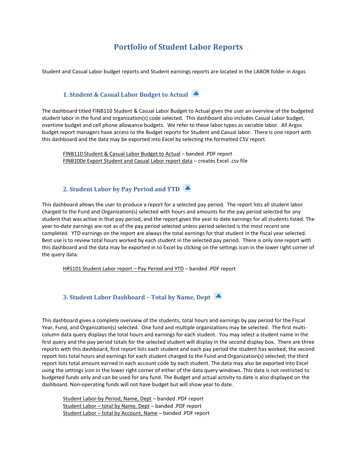## **Portfolio of Student Labor Reports**

<span id="page-13-0"></span>Student and Casual Labor budget reports and Student earnings reports are located in the LABOR folder in Argos

#### <span id="page-13-1"></span>**1. Student & Casual Labor Budget to Actual**

The dashboard titled FINB110 Student & Casual Labor Budget to Actual gives the user an overview of the budgeted student labor in the fund and organization(s) code selected. This dashboard also includes Casual Labor budget, overtime budget and cell phone allowance budgets. We refer to these labor types as variable labor. All Argos budget report managers have access to the Budget reports for Student and Casual labor. There is one report with this dashboard and the data may be exported into Excel by selecting the formatted CSV report.

FINB110 Student & Casual Labor Budget to Actual – banded .PDF report FINB100e Export Student and Casual Labor report data – creates Excel .csv file

#### <span id="page-13-2"></span>**2. Student Labor by Pay Period and YTD**

This dashboard allows the user to produce a report for a selected pay period. The report lists all student labor charged to the Fund and Organization(s) selected with hours and amounts for the pay period selected for any student that was active in that pay period, and the report gives the year to date earnings for all students listed. The year-to-date earnings are not as of the pay period selected unless period selected is the most recent one completed. YTD earnings on the report are always the total earnings for that student in the fiscal year selected. Best use is to review total hours worked by each student in the selected pay period. There is only one report with this dashboard and the data may be exported in to Excel by clicking on the settings icon in the lower right corner of the query data.

HRS101 Student Labor report – Pay Period and YTD – banded .PDF report

#### <span id="page-13-3"></span>**3. Student Labor Dashboard – Total by Name, Dept**

This dashboard gives a complete overview of the students, total hours and earnings by pay period for the Fiscal Year, Fund, and Organization(s) selected. One fund and multiple organizations may be selected. The first multicolumn data query displays the total hours and earnings for each student. You may select a student name in the first query and the pay period totals for the selected student will display in the second display box. There are three reports with this dashboard, first report lists each student and each pay period the student has worked; the second report lists total hours and earnings for each student charged to the Fund and Organization(s) selected; the third report lists total amount earned in each account code by each student. The data may also be exported into Excel using the settings icon in the lower right corner of either of the data query windows. This data is not restricted to budgeted funds only and can be used for any fund. The Budget and actual activity to date is also displayed on the dashboard. Non-operating funds will not have budget but will show year to date.

Student Labor-by Period, Name, Dept – banded .PDF report Student Labor – total by Name, Dept – banded .PDF report Student Labor – total by Account, Name – banded .PDF report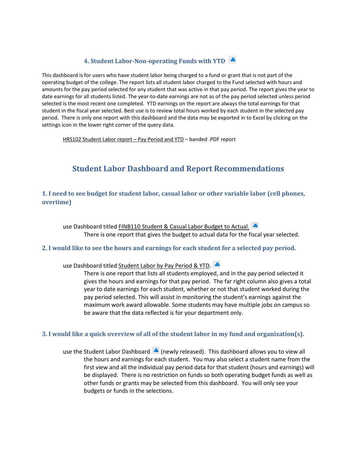#### <span id="page-14-0"></span>**4. Student Labor-Non-operating Funds with YTD**

This dashboard is for users who have student labor being charged to a fund or grant that is not part of the operating budget of the college. The report lists all student labor charged to the Fund selected with hours and amounts for the pay period selected for any student that was active in that pay period. The report gives the year to date earnings for all students listed. The year-to-date earnings are not as of the pay period selected unless period selected is the most recent one completed. YTD earnings on the report are always the total earnings for that student in the fiscal year selected. Best use is to review total hours worked by each student in the selected pay period. There is only one report with this dashboard and the data may be exported in to Excel by clicking on the settings icon in the lower right corner of the query data.

<span id="page-14-1"></span>HRS102 Student Labor report – Pay Period and YTD – banded .PDF report

## **Student Labor Dashboard and Report Recommendations**

#### <span id="page-14-2"></span>**1. I need to see budget for student labor, casual labor or other variable labor (cell phones, overtime)**

use Dashboard titled FINB110 Student & Casual Labor Budget to Actual. There is one report that gives the budget to actual data for the fiscal year selected.

#### <span id="page-14-3"></span>**2. I would like to see the hours and earnings for each student for a selected pay period.**

use Dashboard titled Student Labor by Pay Period & YTD.

There is one report that lists all students employed, and in the pay period selected it gives the hours and earnings for that pay period. The far right column also gives a total year to date earnings for each student, whether or not that student worked during the pay period selected. This will assist in monitoring the student's earnings against the maximum work award allowable. Some students may have multiple jobs on campus so be aware that the data reflected is for your department only.

#### <span id="page-14-4"></span>**3. I would like a quick overview of all of the student labor in my fund and organization(s).**

use the Student Labor Dashboard  $\triangle$  (newly released). This dashboard allows you to view all the hours and earnings for each student. You may also select a student name from the first view and all the individual pay period data for that student (hours and earnings) will be displayed. There is no restriction on funds so both operating budget funds as well as other funds or grants may be selected from this dashboard. You will only see your budgets or funds in the selections.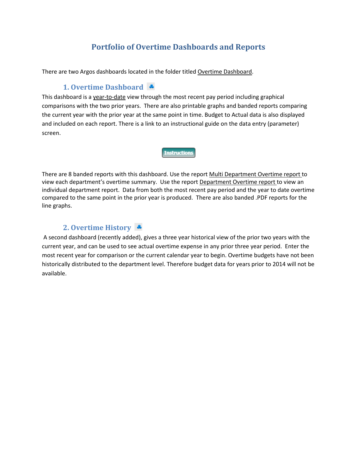## **Portfolio of Overtime Dashboards and Reports**

<span id="page-15-0"></span>There are two Argos dashboards located in the folder titled Overtime Dashboard.

## <span id="page-15-1"></span>**1. Overtime Dashboard**

This dashboard is a year-to-date view through the most recent pay period including graphical comparisons with the two prior years. There are also printable graphs and banded reports comparing the current year with the prior year at the same point in time. Budget to Actual data is also displayed and included on each report. There is a link to an instructional guide on the data entry (parameter) screen.

**Instructions** 

There are 8 banded reports with this dashboard. Use the report Multi Department Overtime report to view each department's overtime summary. Use the report Department Overtime report to view an individual department report. Data from both the most recent pay period and the year to date overtime compared to the same point in the prior year is produced. There are also banded .PDF reports for the line graphs.

## <span id="page-15-2"></span>**2. Overtime History**

A second dashboard (recently added), gives a three year historical view of the prior two years with the current year, and can be used to see actual overtime expense in any prior three year period. Enter the most recent year for comparison or the current calendar year to begin. Overtime budgets have not been historically distributed to the department level. Therefore budget data for years prior to 2014 will not be available.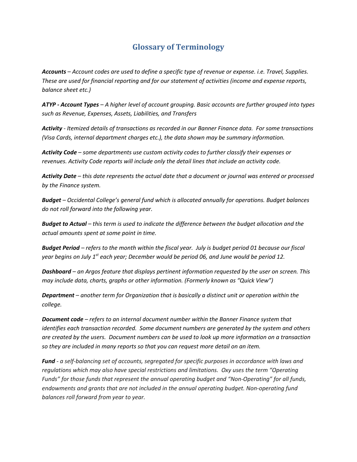## **Glossary of Terminology**

<span id="page-16-0"></span>*Accounts – Account codes are used to define a specific type of revenue or expense. i.e. Travel, Supplies. These are used for financial reporting and for our statement of activities (income and expense reports, balance sheet etc.)*

*ATYP - Account Types – A higher level of account grouping. Basic accounts are further grouped into types such as Revenue, Expenses, Assets, Liabilities, and Transfers* 

*Activity - Itemized details of transactions as recorded in our Banner Finance data. For some transactions (Visa Cards, internal department charges etc.), the data shown may be summary information.*

*Activity Code – some departments use custom activity codes to further classify their expenses or revenues. Activity Code reports will include only the detail lines that include an activity code.*

*Activity Date – this date represents the actual date that a document or journal was entered or processed by the Finance system.* 

*Budget – Occidental College's general fund which is allocated annually for operations. Budget balances do not roll forward into the following year.*

*Budget to Actual – this term is used to indicate the difference between the budget allocation and the actual amounts spent at some point in time.*

*Budget Period – refers to the month within the fiscal year. July is budget period 01 because our fiscal year begins on July 1st each year; December would be period 06, and June would be period 12.*

*Dashboard – an Argos feature that displays pertinent information requested by the user on screen. This may include data, charts, graphs or other information. (Formerly known as "Quick View")*

*Department – another term for Organization that is basically a distinct unit or operation within the college.*

*Document code – refers to an internal document number within the Banner Finance system that identifies each transaction recorded. Some document numbers are generated by the system and others are created by the users. Document numbers can be used to look up more information on a transaction so they are included in many reports so that you can request more detail on an item.*

*Fund - a self-balancing set of accounts, segregated for specific purposes in accordance with laws and regulations which may also have special restrictions and limitations. Oxy uses the term "Operating Funds" for those funds that represent the annual operating budget and "Non-Operating" for all funds, endowments and grants that are not included in the annual operating budget. Non-operating fund balances roll forward from year to year.*